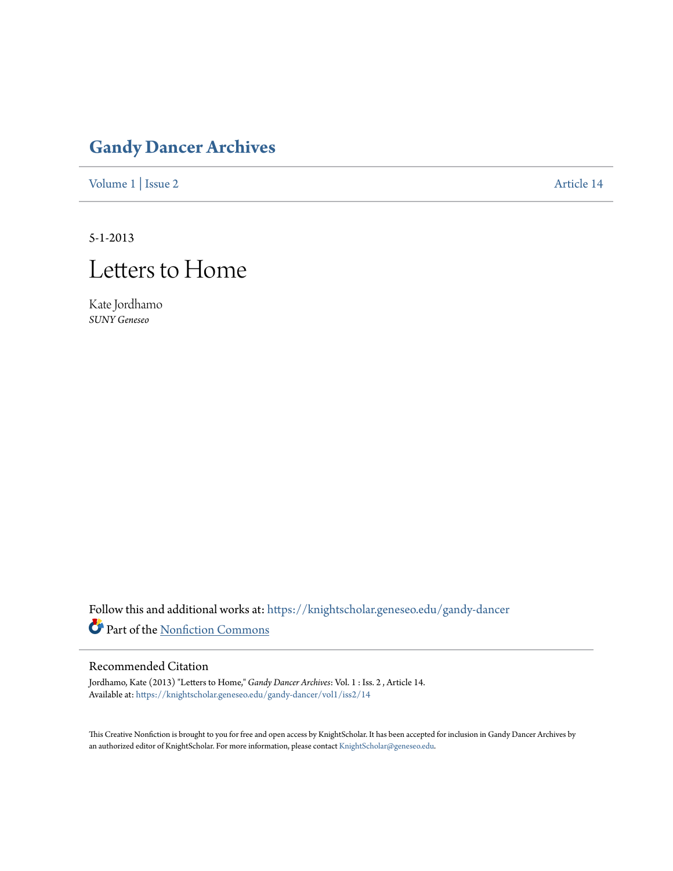## **[Gandy Dancer Archives](https://knightscholar.geneseo.edu/gandy-dancer?utm_source=knightscholar.geneseo.edu%2Fgandy-dancer%2Fvol1%2Fiss2%2F14&utm_medium=PDF&utm_campaign=PDFCoverPages)**

[Volume 1](https://knightscholar.geneseo.edu/gandy-dancer/vol1?utm_source=knightscholar.geneseo.edu%2Fgandy-dancer%2Fvol1%2Fiss2%2F14&utm_medium=PDF&utm_campaign=PDFCoverPages) | [Issue 2](https://knightscholar.geneseo.edu/gandy-dancer/vol1/iss2?utm_source=knightscholar.geneseo.edu%2Fgandy-dancer%2Fvol1%2Fiss2%2F14&utm_medium=PDF&utm_campaign=PDFCoverPages) [Article 14](https://knightscholar.geneseo.edu/gandy-dancer/vol1/iss2/14?utm_source=knightscholar.geneseo.edu%2Fgandy-dancer%2Fvol1%2Fiss2%2F14&utm_medium=PDF&utm_campaign=PDFCoverPages)

5-1-2013

## Letters to Home

Kate Jordhamo *SUNY Geneseo*

Follow this and additional works at: [https://knightscholar.geneseo.edu/gandy-dancer](https://knightscholar.geneseo.edu/gandy-dancer?utm_source=knightscholar.geneseo.edu%2Fgandy-dancer%2Fvol1%2Fiss2%2F14&utm_medium=PDF&utm_campaign=PDFCoverPages) Part of the [Nonfiction Commons](http://network.bepress.com/hgg/discipline/1152?utm_source=knightscholar.geneseo.edu%2Fgandy-dancer%2Fvol1%2Fiss2%2F14&utm_medium=PDF&utm_campaign=PDFCoverPages)

## Recommended Citation

Jordhamo, Kate (2013) "Letters to Home," *Gandy Dancer Archives*: Vol. 1 : Iss. 2 , Article 14. Available at: [https://knightscholar.geneseo.edu/gandy-dancer/vol1/iss2/14](https://knightscholar.geneseo.edu/gandy-dancer/vol1/iss2/14?utm_source=knightscholar.geneseo.edu%2Fgandy-dancer%2Fvol1%2Fiss2%2F14&utm_medium=PDF&utm_campaign=PDFCoverPages)

This Creative Nonfiction is brought to you for free and open access by KnightScholar. It has been accepted for inclusion in Gandy Dancer Archives by an authorized editor of KnightScholar. For more information, please contact [KnightScholar@geneseo.edu](mailto:KnightScholar@geneseo.edu).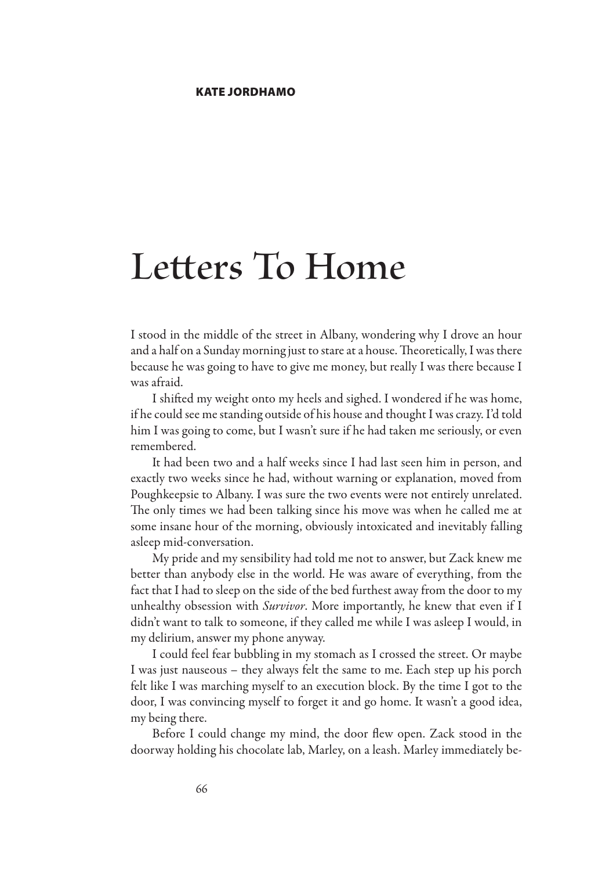## **Letters To Home**

I stood in the middle of the street in Albany, wondering why I drove an hour and a half on a Sunday morning just to stare at a house. Theoretically, I was there because he was going to have to give me money, but really I was there because I was afraid.

I shifted my weight onto my heels and sighed. I wondered if he was home, if he could see me standing outside of his house and thought I was crazy. I'd told him I was going to come, but I wasn't sure if he had taken me seriously, or even remembered.

It had been two and a half weeks since I had last seen him in person, and exactly two weeks since he had, without warning or explanation, moved from Poughkeepsie to Albany. I was sure the two events were not entirely unrelated. The only times we had been talking since his move was when he called me at some insane hour of the morning, obviously intoxicated and inevitably falling asleep mid-conversation.

My pride and my sensibility had told me not to answer, but Zack knew me better than anybody else in the world. He was aware of everything, from the fact that I had to sleep on the side of the bed furthest away from the door to my unhealthy obsession with *Survivor*. More importantly, he knew that even if I didn't want to talk to someone, if they called me while I was asleep I would, in my delirium, answer my phone anyway.

I could feel fear bubbling in my stomach as I crossed the street. Or maybe I was just nauseous – they always felt the same to me. Each step up his porch felt like I was marching myself to an execution block. By the time I got to the door, I was convincing myself to forget it and go home. It wasn't a good idea, my being there.

Before I could change my mind, the door flew open. Zack stood in the doorway holding his chocolate lab, Marley, on a leash. Marley immediately be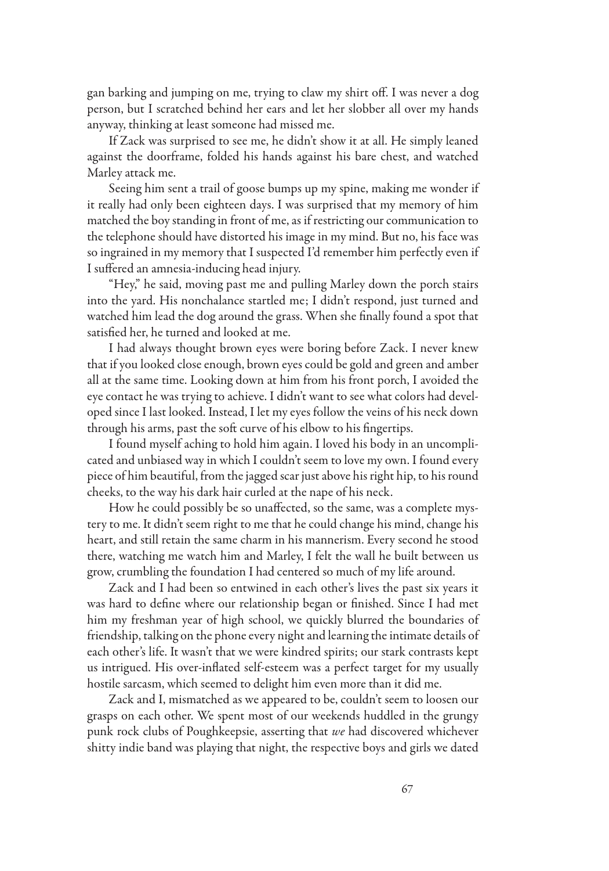gan barking and jumping on me, trying to claw my shirt off. I was never a dog person, but I scratched behind her ears and let her slobber all over my hands anyway, thinking at least someone had missed me.

If Zack was surprised to see me, he didn't show it at all. He simply leaned against the doorframe, folded his hands against his bare chest, and watched Marley attack me.

Seeing him sent a trail of goose bumps up my spine, making me wonder if it really had only been eighteen days. I was surprised that my memory of him matched the boy standing in front of me, as if restricting our communication to the telephone should have distorted his image in my mind. But no, his face was so ingrained in my memory that I suspected I'd remember him perfectly even if I suffered an amnesia-inducing head injury.

"Hey," he said, moving past me and pulling Marley down the porch stairs into the yard. His nonchalance startled me; I didn't respond, just turned and watched him lead the dog around the grass. When she finally found a spot that satisfied her, he turned and looked at me.

I had always thought brown eyes were boring before Zack. I never knew that if you looked close enough, brown eyes could be gold and green and amber all at the same time. Looking down at him from his front porch, I avoided the eye contact he was trying to achieve. I didn't want to see what colors had developed since I last looked. Instead, I let my eyes follow the veins of his neck down through his arms, past the soft curve of his elbow to his fingertips.

I found myself aching to hold him again. I loved his body in an uncomplicated and unbiased way in which I couldn't seem to love my own. I found every piece of him beautiful, from the jagged scar just above his right hip, to his round cheeks, to the way his dark hair curled at the nape of his neck.

How he could possibly be so unaffected, so the same, was a complete mystery to me. It didn't seem right to me that he could change his mind, change his heart, and still retain the same charm in his mannerism. Every second he stood there, watching me watch him and Marley, I felt the wall he built between us grow, crumbling the foundation I had centered so much of my life around.

Zack and I had been so entwined in each other's lives the past six years it was hard to define where our relationship began or finished. Since I had met him my freshman year of high school, we quickly blurred the boundaries of friendship, talking on the phone every night and learning the intimate details of each other's life. It wasn't that we were kindred spirits; our stark contrasts kept us intrigued. His over-inflated self-esteem was a perfect target for my usually hostile sarcasm, which seemed to delight him even more than it did me.

Zack and I, mismatched as we appeared to be, couldn't seem to loosen our grasps on each other. We spent most of our weekends huddled in the grungy punk rock clubs of Poughkeepsie, asserting that *we* had discovered whichever shitty indie band was playing that night, the respective boys and girls we dated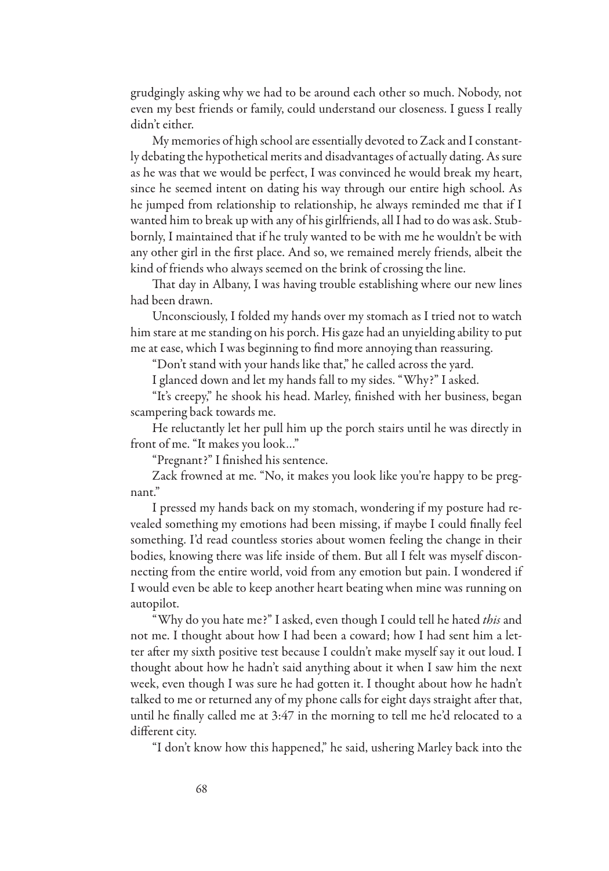grudgingly asking why we had to be around each other so much. Nobody, not even my best friends or family, could understand our closeness. I guess I really didn't either.

My memories of high school are essentially devoted to Zack and I constantly debating the hypothetical merits and disadvantages of actually dating. As sure as he was that we would be perfect, I was convinced he would break my heart, since he seemed intent on dating his way through our entire high school. As he jumped from relationship to relationship, he always reminded me that if I wanted him to break up with any of his girlfriends, all I had to do was ask. Stubbornly, I maintained that if he truly wanted to be with me he wouldn't be with any other girl in the first place. And so, we remained merely friends, albeit the kind of friends who always seemed on the brink of crossing the line.

That day in Albany, I was having trouble establishing where our new lines had been drawn.

Unconsciously, I folded my hands over my stomach as I tried not to watch him stare at me standing on his porch. His gaze had an unyielding ability to put me at ease, which I was beginning to find more annoying than reassuring.

"Don't stand with your hands like that," he called across the yard.

I glanced down and let my hands fall to my sides. "Why?" I asked.

"It's creepy," he shook his head. Marley, finished with her business, began scampering back towards me.

He reluctantly let her pull him up the porch stairs until he was directly in front of me. "It makes you look…"

"Pregnant?" I finished his sentence.

Zack frowned at me. "No, it makes you look like you're happy to be pregnant."

I pressed my hands back on my stomach, wondering if my posture had revealed something my emotions had been missing, if maybe I could finally feel something. I'd read countless stories about women feeling the change in their bodies, knowing there was life inside of them. But all I felt was myself disconnecting from the entire world, void from any emotion but pain. I wondered if I would even be able to keep another heart beating when mine was running on autopilot.

"Why do you hate me?" I asked, even though I could tell he hated *this* and not me. I thought about how I had been a coward; how I had sent him a letter after my sixth positive test because I couldn't make myself say it out loud. I thought about how he hadn't said anything about it when I saw him the next week, even though I was sure he had gotten it. I thought about how he hadn't talked to me or returned any of my phone calls for eight days straight after that, until he finally called me at 3:47 in the morning to tell me he'd relocated to a different city.

"I don't know how this happened," he said, ushering Marley back into the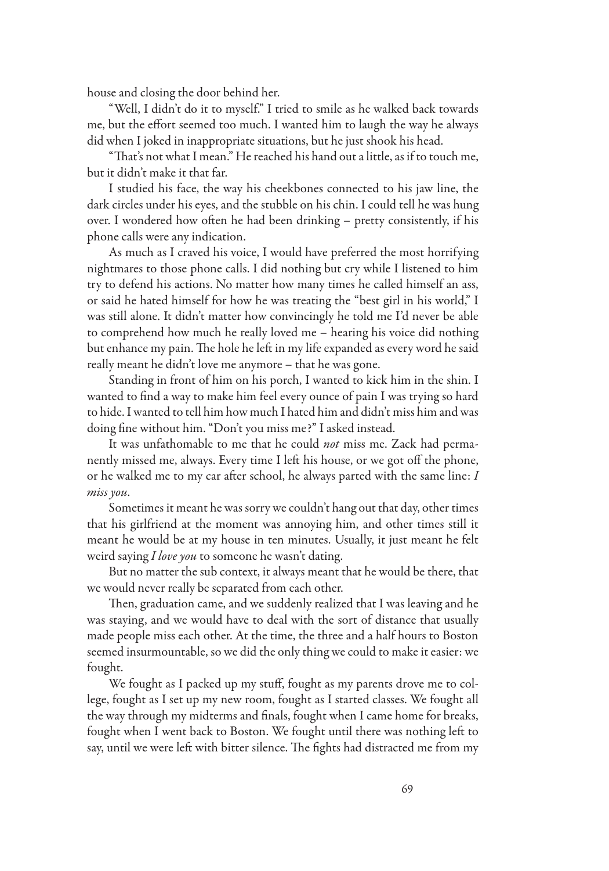house and closing the door behind her.

"Well, I didn't do it to myself." I tried to smile as he walked back towards me, but the effort seemed too much. I wanted him to laugh the way he always did when I joked in inappropriate situations, but he just shook his head.

"That's not what I mean." He reached his hand out a little, as if to touch me, but it didn't make it that far.

I studied his face, the way his cheekbones connected to his jaw line, the dark circles under his eyes, and the stubble on his chin. I could tell he was hung over. I wondered how often he had been drinking – pretty consistently, if his phone calls were any indication.

As much as I craved his voice, I would have preferred the most horrifying nightmares to those phone calls. I did nothing but cry while I listened to him try to defend his actions. No matter how many times he called himself an ass, or said he hated himself for how he was treating the "best girl in his world," I was still alone. It didn't matter how convincingly he told me I'd never be able to comprehend how much he really loved me – hearing his voice did nothing but enhance my pain. The hole he left in my life expanded as every word he said really meant he didn't love me anymore – that he was gone.

Standing in front of him on his porch, I wanted to kick him in the shin. I wanted to find a way to make him feel every ounce of pain I was trying so hard to hide. I wanted to tell him how much I hated him and didn't miss him and was doing fine without him. "Don't you miss me?" I asked instead.

It was unfathomable to me that he could *not* miss me. Zack had permanently missed me, always. Every time I left his house, or we got off the phone, or he walked me to my car after school, he always parted with the same line: *I miss you*.

Sometimes it meant he was sorry we couldn't hang out that day, other times that his girlfriend at the moment was annoying him, and other times still it meant he would be at my house in ten minutes. Usually, it just meant he felt weird saying *I love you* to someone he wasn't dating.

But no matter the sub context, it always meant that he would be there, that we would never really be separated from each other.

Then, graduation came, and we suddenly realized that I was leaving and he was staying, and we would have to deal with the sort of distance that usually made people miss each other. At the time, the three and a half hours to Boston seemed insurmountable, so we did the only thing we could to make it easier: we fought.

We fought as I packed up my stuff, fought as my parents drove me to college, fought as I set up my new room, fought as I started classes. We fought all the way through my midterms and finals, fought when I came home for breaks, fought when I went back to Boston. We fought until there was nothing left to say, until we were left with bitter silence. The fights had distracted me from my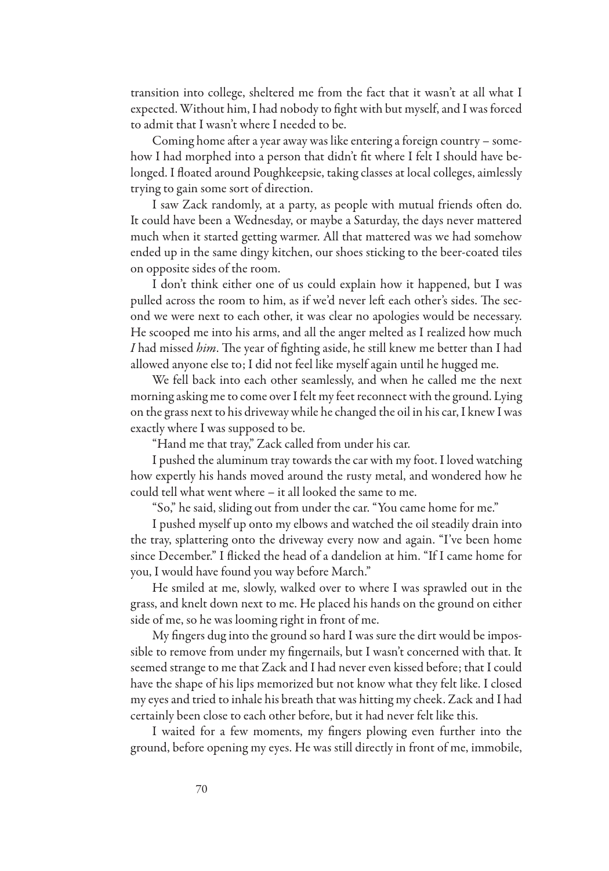transition into college, sheltered me from the fact that it wasn't at all what I expected. Without him, I had nobody to fight with but myself, and I was forced to admit that I wasn't where I needed to be.

Coming home after a year away was like entering a foreign country – somehow I had morphed into a person that didn't fit where I felt I should have belonged. I floated around Poughkeepsie, taking classes at local colleges, aimlessly trying to gain some sort of direction.

I saw Zack randomly, at a party, as people with mutual friends often do. It could have been a Wednesday, or maybe a Saturday, the days never mattered much when it started getting warmer. All that mattered was we had somehow ended up in the same dingy kitchen, our shoes sticking to the beer-coated tiles on opposite sides of the room.

I don't think either one of us could explain how it happened, but I was pulled across the room to him, as if we'd never left each other's sides. The second we were next to each other, it was clear no apologies would be necessary. He scooped me into his arms, and all the anger melted as I realized how much *I* had missed *him*. The year of fighting aside, he still knew me better than I had allowed anyone else to; I did not feel like myself again until he hugged me.

We fell back into each other seamlessly, and when he called me the next morning asking me to come over I felt my feet reconnect with the ground. Lying on the grass next to his driveway while he changed the oil in his car, I knew I was exactly where I was supposed to be.

"Hand me that tray," Zack called from under his car.

I pushed the aluminum tray towards the car with my foot. I loved watching how expertly his hands moved around the rusty metal, and wondered how he could tell what went where – it all looked the same to me.

"So," he said, sliding out from under the car. "You came home for me."

I pushed myself up onto my elbows and watched the oil steadily drain into the tray, splattering onto the driveway every now and again. "I've been home since December." I flicked the head of a dandelion at him. "If I came home for you, I would have found you way before March."

He smiled at me, slowly, walked over to where I was sprawled out in the grass, and knelt down next to me. He placed his hands on the ground on either side of me, so he was looming right in front of me.

My fingers dug into the ground so hard I was sure the dirt would be impossible to remove from under my fingernails, but I wasn't concerned with that. It seemed strange to me that Zack and I had never even kissed before; that I could have the shape of his lips memorized but not know what they felt like. I closed my eyes and tried to inhale his breath that was hitting my cheek. Zack and I had certainly been close to each other before, but it had never felt like this.

I waited for a few moments, my fingers plowing even further into the ground, before opening my eyes. He was still directly in front of me, immobile,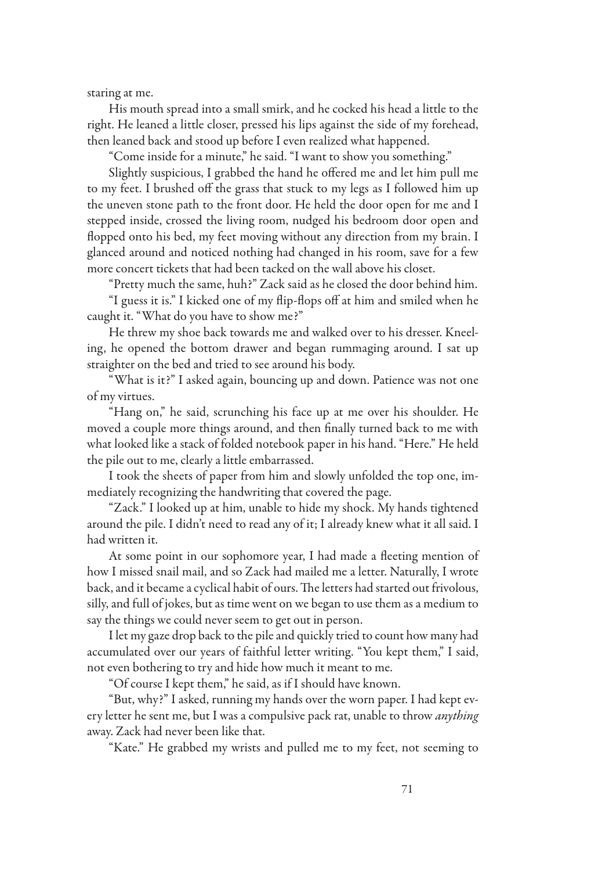staring at me.

His mouth spread into a small smirk, and he cocked his head a little to the right. He leaned a little closer, pressed his lips against the side of my forehead, then leaned back and stood up before I even realized what happened.

"Come inside for a minute," he said. "I want to show you something."

Slightly suspicious, I grabbed the hand he offered me and let him pull me to my feet. I brushed off the grass that stuck to my legs as I followed him up the uneven stone path to the front door. He held the door open for me and I stepped inside, crossed the living room, nudged his bedroom door open and flopped onto his bed, my feet moving without any direction from my brain. I glanced around and noticed nothing had changed in his room, save for a few more concert tickets that had been tacked on the wall above his closet.

"Pretty much the same, huh?" Zack said as he closed the door behind him.

"I guess it is." I kicked one of my flip-flops off at him and smiled when he caught it. "What do you have to show me?"

He threw my shoe back towards me and walked over to his dresser. Kneeling, he opened the bottom drawer and began rummaging around. I sat up straighter on the bed and tried to see around his body.

"What is it?" I asked again, bouncing up and down. Patience was not one of my virtues.

"Hang on," he said, scrunching his face up at me over his shoulder. He moved a couple more things around, and then finally turned back to me with what looked like a stack of folded notebook paper in his hand. "Here." He held the pile out to me, clearly a little embarrassed.

I took the sheets of paper from him and slowly unfolded the top one, immediately recognizing the handwriting that covered the page.

"Zack." I looked up at him, unable to hide my shock. My hands tightened around the pile. I didn't need to read any of it; I already knew what it all said. I had written it.

At some point in our sophomore year, I had made a fleeting mention of how I missed snail mail, and so Zack had mailed me a letter. Naturally, I wrote back, and it became a cyclical habit of ours. The letters had started out frivolous, silly, and full of jokes, but as time went on we began to use them as a medium to say the things we could never seem to get out in person.

I let my gaze drop back to the pile and quickly tried to count how many had accumulated over our years of faithful letter writing. "You kept them," I said, not even bothering to try and hide how much it meant to me.

"Of course I kept them," he said, as if I should have known.

"But, why?" I asked, running my hands over the worn paper. I had kept every letter he sent me, but I was a compulsive pack rat, unable to throw *anything* away. Zack had never been like that.

"Kate." He grabbed my wrists and pulled me to my feet, not seeming to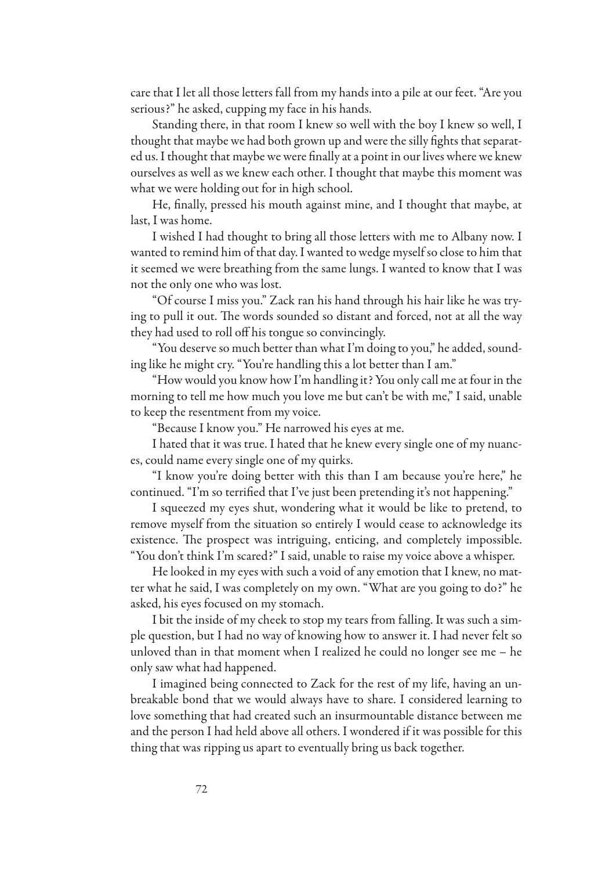care that I let all those letters fall from my hands into a pile at our feet. "Are you serious?" he asked, cupping my face in his hands.

Standing there, in that room I knew so well with the boy I knew so well, I thought that maybe we had both grown up and were the silly fights that separated us. I thought that maybe we were finally at a point in our lives where we knew ourselves as well as we knew each other. I thought that maybe this moment was what we were holding out for in high school.

He, finally, pressed his mouth against mine, and I thought that maybe, at last, I was home.

I wished I had thought to bring all those letters with me to Albany now. I wanted to remind him of that day. I wanted to wedge myself so close to him that it seemed we were breathing from the same lungs. I wanted to know that I was not the only one who was lost.

"Of course I miss you." Zack ran his hand through his hair like he was trying to pull it out. The words sounded so distant and forced, not at all the way they had used to roll off his tongue so convincingly.

"You deserve so much better than what I'm doing to you," he added, sounding like he might cry. "You're handling this a lot better than I am."

"How would you know how I'm handling it? You only call me at four in the morning to tell me how much you love me but can't be with me," I said, unable to keep the resentment from my voice.

"Because I know you." He narrowed his eyes at me.

I hated that it was true. I hated that he knew every single one of my nuances, could name every single one of my quirks.

"I know you're doing better with this than I am because you're here," he continued. "I'm so terrified that I've just been pretending it's not happening."

I squeezed my eyes shut, wondering what it would be like to pretend, to remove myself from the situation so entirely I would cease to acknowledge its existence. The prospect was intriguing, enticing, and completely impossible. "You don't think I'm scared?" I said, unable to raise my voice above a whisper.

He looked in my eyes with such a void of any emotion that I knew, no matter what he said, I was completely on my own. "What are you going to do?" he asked, his eyes focused on my stomach.

I bit the inside of my cheek to stop my tears from falling. It was such a simple question, but I had no way of knowing how to answer it. I had never felt so unloved than in that moment when I realized he could no longer see me – he only saw what had happened.

I imagined being connected to Zack for the rest of my life, having an unbreakable bond that we would always have to share. I considered learning to love something that had created such an insurmountable distance between me and the person I had held above all others. I wondered if it was possible for this thing that was ripping us apart to eventually bring us back together.